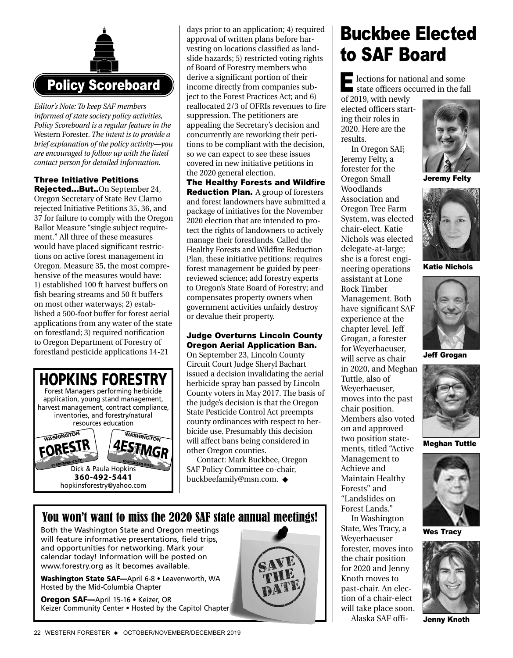

*Editor's Note: To keep SAF members informed of state society policy activities, Policy Scoreboard is a regular feature in the* Western Forester*. The intent is to provide a brief explanation of the policy activity—you are encouraged to follow up with the listed contact person for detailed information.*

### Three Initiative Petitions

Rejected...But..On September 24, Oregon Secretary of State Bev Clarno rejected Initiative Petitions 35, 36, and 37 for failure to comply with the Oregon Ballot Measure "single subject requirement." All three of these measures would have placed significant restrictions on active forest management in Oregon. Measure 35, the most comprehensive of the measures would have: 1) established 100 ft harvest buffers on fish bearing streams and 50 ft buffers on most other waterways; 2) established a 500-foot buffer for forest aerial applications from any water of the state on forestland; 3) required notification to Oregon Department of Forestry of forestland pesticide applications 14-21



days prior to an application; 4) required approval of written plans before harvesting on locations classified as landslide hazards; 5) restricted voting rights of Board of Forestry members who derive a significant portion of their income directly from companies subject to the Forest Practices Act; and 6) reallocated 2/3 of OFRIs revenues to fire suppression. The petitioners are appealing the Secretary's decision and concurrently are reworking their petitions to be compliant with the decision, so we can expect to see these issues covered in new initiative petitions in the 2020 general election.

The Healthy Forests and Wildfire **Reduction Plan.** A group of foresters and forest landowners have submitted a package of initiatives for the November 2020 election that are intended to protect the rights of landowners to actively manage their forestlands. Called the Healthy Forests and Wildfire Reduction Plan, these initiative petitions: requires forest management be guided by peerreviewed science; add forestry experts to Oregon's State Board of Forestry; and compensates property owners when government activities unfairly destroy or devalue their property.

#### Judge Overturns Lincoln County Oregon Aerial Application Ban.

On September 23, Lincoln County Circuit Court Judge Sheryl Bachart issued a decision invalidating the aerial herbicide spray ban passed by Lincoln County voters in May 2017. The basis of the judge's decision is that the Oregon State Pesticide Control Act preempts county ordinances with respect to herbicide use. Presumably this decision will affect bans being considered in other Oregon counties.

Contact: Mark Buckbee, Oregon SAF Policy Committee co-chair, buckbeefamily@msn.com. ◆

## You won't want to miss the 2020 SAF state annual meetings!

Both the Washington State and Oregon meetings will feature informative presentations, field trips, and opportunities for networking. Mark your calendar today! Information will be posted on www.forestry.org as it becomes available.

**Washington State SAF—**April 6-8 • Leavenworth, WA Hosted by the Mid-Columbia Chapter

**Oregon SAF—**April 15-16 • Keizer, OR Keizer Community Center • Hosted by the Capitol Chapter



# Buckbee Elected to SAF Board

lections for national and some E state officers occurred in the fall

of 2019, with newly elected officers starting their roles in 2020. Here are the results.

In Oregon SAF, Jeremy Felty, a forester for the Oregon Small Woodlands Association and Oregon Tree Farm System, was elected chair-elect. Katie Nichols was elected delegate-at-large; she is a forest engineering operations assistant at Lone Rock Timber Management. Both have significant SAF experience at the chapter level. Jeff Grogan, a forester for Weyerhaeuser, will serve as chair in 2020, and Meghan Tuttle, also of Weyerhaeuser, moves into the past chair position. Members also voted on and approved two position statements, titled "Active Management to Achieve and Maintain Healthy Forests" and "Landslides on Forest Lands." In Washington State, Wes Tracy, a Weyerhaeuser forester, moves into the chair position for 2020 and Jenny

Knoth moves to past-chair. An election of a chair-elect will take place soon. Alaska SAF offi-



Jeremy Felty



Katie Nichols



Jeff Grogan



Meghan Tuttle



Wes Tracy



Jenny Knoth